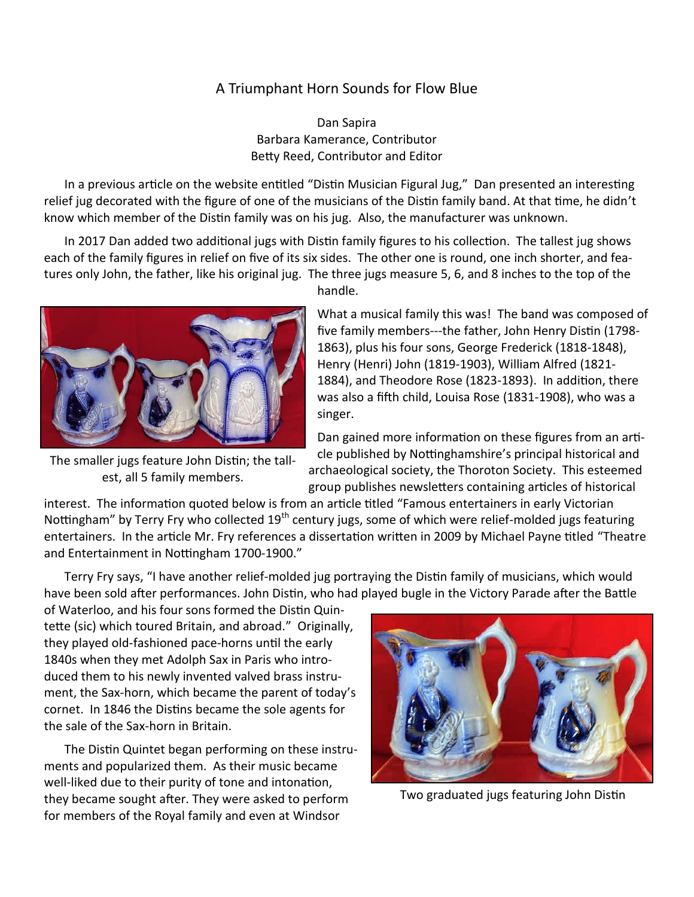## A Triumphant Horn Sounds for Flow Blue

Dan Sapira Barbara Kamerance, Contributor Betty Reed, Contributor and Editor

In a previous article on the website entitled "Distin Musician Figural Jug," Dan presented an interesting relief jug decorated with the figure of one of the musicians of the Distin family band. At that time, he didn't know which member of the Distin family was on his jug. Also, the manufacturer was unknown.

In 2017 Dan added two additional jugs with Distin family figures to his collection. The tallest jug shows each of the family figures in relief on five of its six sides. The other one is round, one inch shorter, and features only John, the father, like his original jug. The three jugs measure 5, 6, and 8 inches to the top of the



The smaller jugs feature John Distin; the tallest, all 5 family members.

handle.

What a musical family this was! The band was composed of five family members---the father, John Henry Distin (1798- 1863), plus his four sons, George Frederick (1818-1848), Henry (Henri) John (1819-1903), William Alfred (1821- 1884), and Theodore Rose (1823-1893). In addition, there was also a fifth child, Louisa Rose (1831-1908), who was a singer.

Dan gained more information on these figures from an article published by Nottinghamshire's principal historical and archaeological society, the Thoroton Society. This esteemed group publishes newsletters containing articles of historical

interest. The information quoted below is from an article titled "Famous entertainers in early Victorian Nottingham" by Terry Fry who collected 19<sup>th</sup> century jugs, some of which were relief-molded jugs featuring entertainers. In the article Mr. Fry references a dissertation written in 2009 by Michael Payne titled "Theatre and Entertainment in Nottingham 1700-1900."

Terry Fry says, "I have another relief-molded jug portraying the Distin family of musicians, which would have been sold after performances. John Distin, who had played bugle in the Victory Parade after the Battle

of Waterloo, and his four sons formed the Distin Quintette (sic) which toured Britain, and abroad." Originally, they played old-fashioned pace-horns until the early 1840s when they met Adolph Sax in Paris who introduced them to his newly invented valved brass instrument, the Sax-horn, which became the parent of today's cornet. In 1846 the Distins became the sole agents for the sale of the Sax-horn in Britain.

The Distin Quintet began performing on these instruments and popularized them. As their music became well-liked due to their purity of tone and intonation, they became sought after. They were asked to perform for members of the Royal family and even at Windsor



Two graduated jugs featuring John Distin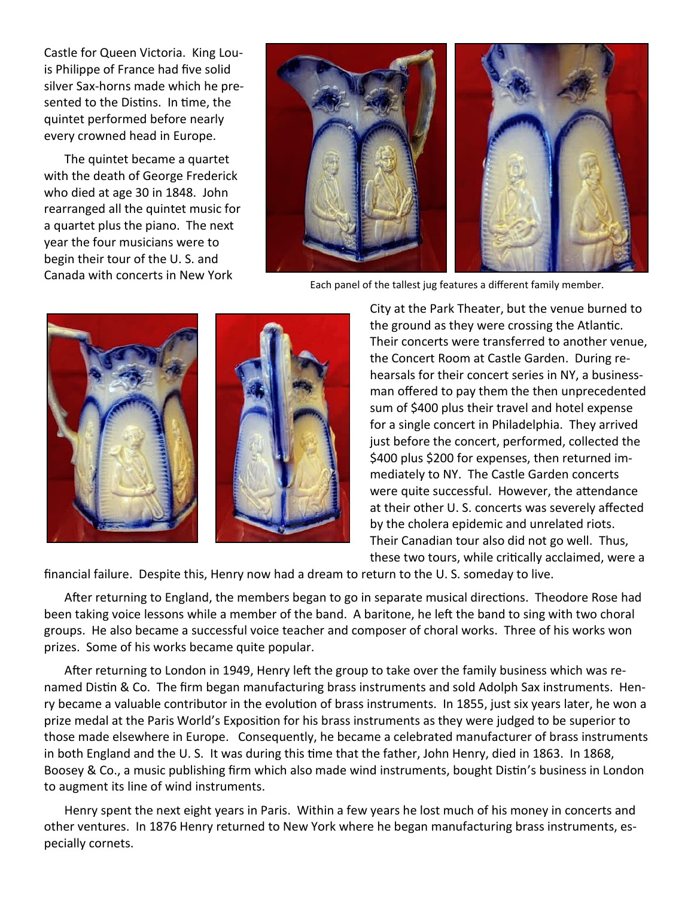Castle for Queen Victoria. King Louis Philippe of France had five solid silver Sax-horns made which he presented to the Distins. In time, the quintet performed before nearly every crowned head in Europe.

The quintet became a quartet with the death of George Frederick who died at age 30 in 1848. John rearranged all the quintet music for a quartet plus the piano. The next year the four musicians were to begin their tour of the U. S. and Canada with concerts in New York



Each panel of the tallest jug features a different family member.



City at the Park Theater, but the venue burned to the ground as they were crossing the Atlantic. Their concerts were transferred to another venue, the Concert Room at Castle Garden. During rehearsals for their concert series in NY, a businessman offered to pay them the then unprecedented sum of \$400 plus their travel and hotel expense for a single concert in Philadelphia. They arrived just before the concert, performed, collected the \$400 plus \$200 for expenses, then returned immediately to NY. The Castle Garden concerts were quite successful. However, the attendance at their other U. S. concerts was severely affected by the cholera epidemic and unrelated riots. Their Canadian tour also did not go well. Thus, these two tours, while critically acclaimed, were a

financial failure. Despite this, Henry now had a dream to return to the U. S. someday to live.

After returning to England, the members began to go in separate musical directions. Theodore Rose had been taking voice lessons while a member of the band. A baritone, he left the band to sing with two choral groups. He also became a successful voice teacher and composer of choral works. Three of his works won prizes. Some of his works became quite popular.

After returning to London in 1949, Henry left the group to take over the family business which was renamed Distin & Co. The firm began manufacturing brass instruments and sold Adolph Sax instruments. Henry became a valuable contributor in the evolution of brass instruments. In 1855, just six years later, he won a prize medal at the Paris World's Exposition for his brass instruments as they were judged to be superior to those made elsewhere in Europe. Consequently, he became a celebrated manufacturer of brass instruments in both England and the U. S. It was during this time that the father, John Henry, died in 1863. In 1868, Boosey & Co., a music publishing firm which also made wind instruments, bought Distin's business in London to augment its line of wind instruments.

Henry spent the next eight years in Paris. Within a few years he lost much of his money in concerts and other ventures. In 1876 Henry returned to New York where he began manufacturing brass instruments, especially cornets.